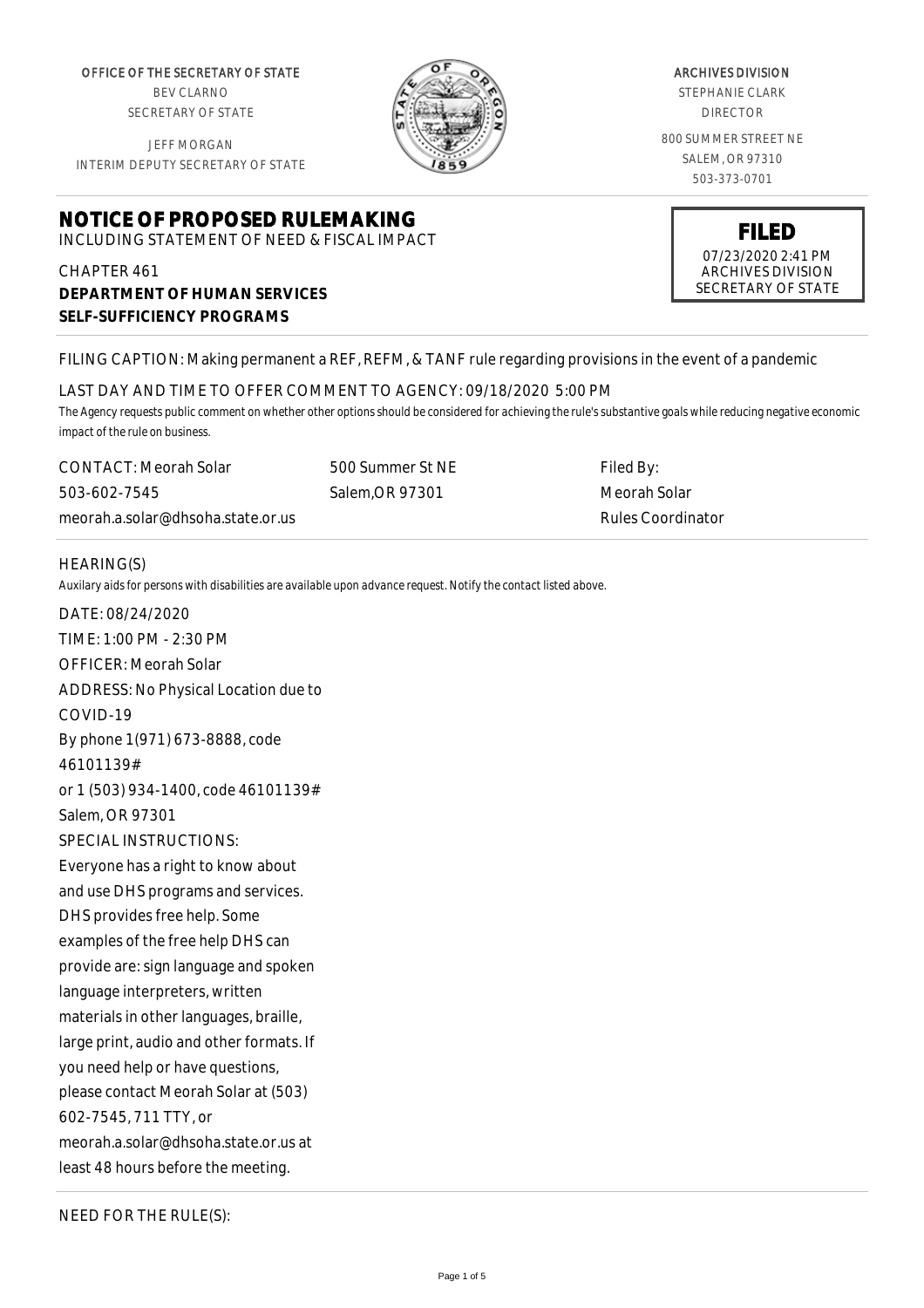OFFICE OF THE SECRETARY OF STATE BEV CLARNO

SECRETARY OF STATE

JEFF MORGAN INTERIM DEPUTY SECRETARY OF STATE

# **NOTICE OF PROPOSED RULEMAKING**

INCLUDING STATEMENT OF NEED & FISCAL IMPACT

## CHAPTER 461 **DEPARTMENT OF HUMAN SERVICES SELF-SUFFICIENCY PROGRAMS**

ARCHIVES DIVISION STEPHANIE CLARK

DIRECTOR

800 SUMMER STREET NE SALEM, OR 97310 503-373-0701



## FILING CAPTION: Making permanent a REF, REFM, & TANF rule regarding provisions in the event of a pandemic

#### LAST DAY AND TIME TO OFFER COMMENT TO AGENCY: 09/18/2020 5:00 PM

*The Agency requests public comment on whether other options should be considered for achieving the rule's substantive goals while reducing negative economic impact of the rule on business.*

CONTACT: Meorah Solar 503-602-7545 meorah.a.solar@dhsoha.state.or.us 500 Summer St NE Salem,OR 97301

Filed By: Meorah Solar Rules Coordinator

#### HEARING(S)

*Auxilary aids for persons with disabilities are available upon advance request. Notify the contact listed above.*

DATE: 08/24/2020 TIME: 1:00 PM - 2:30 PM OFFICER: Meorah Solar ADDRESS: No Physical Location due to COVID-19 By phone 1(971) 673-8888, code 46101139# or 1 (503) 934-1400, code 46101139# Salem, OR 97301 SPECIAL INSTRUCTIONS: Everyone has a right to know about and use DHS programs and services. DHS provides free help. Some examples of the free help DHS can provide are: sign language and spoken language interpreters, written materials in other languages, braille, large print, audio and other formats. If you need help or have questions, please contact Meorah Solar at (503) 602-7545, 711 TTY, or meorah.a.solar@dhsoha.state.or.us at least 48 hours before the meeting.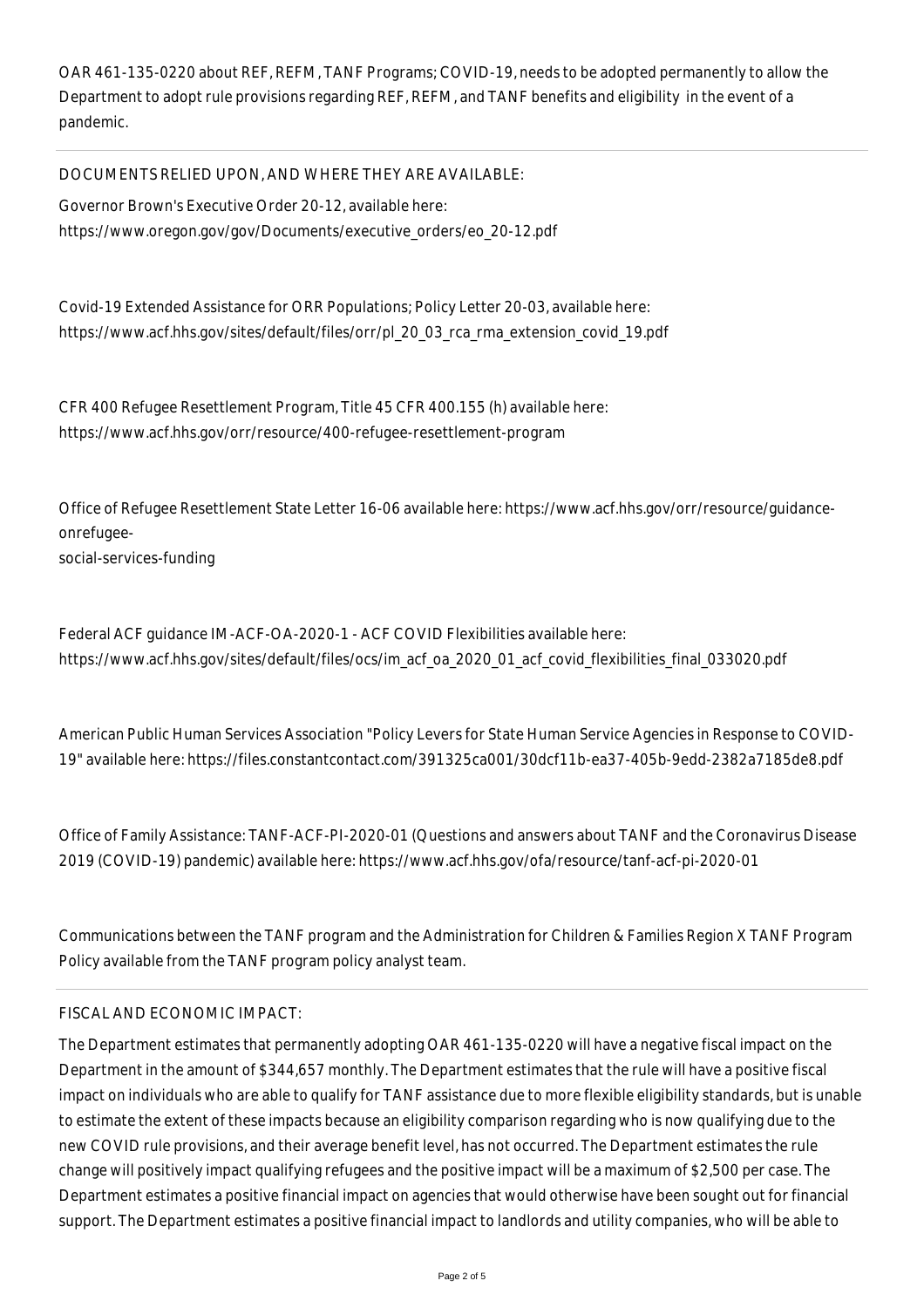OAR 461-135-0220 about REF, REFM, TANF Programs; COVID-19, needs to be adopted permanently to allow the Department to adopt rule provisions regarding REF, REFM, and TANF benefits and eligibility in the event of a pandemic.

### DOCUMENTS RELIED UPON, AND WHERE THEY ARE AVAILABLE:

Governor Brown's Executive Order 20-12, available here: https://www.oregon.gov/gov/Documents/executive\_orders/eo\_20-12.pdf

Covid-19 Extended Assistance for ORR Populations; Policy Letter 20-03, available here: https://www.acf.hhs.gov/sites/default/files/orr/pl\_20\_03\_rca\_rma\_extension\_covid\_19.pdf

CFR 400 Refugee Resettlement Program, Title 45 CFR 400.155 (h) available here: https://www.acf.hhs.gov/orr/resource/400-refugee-resettlement-program

Office of Refugee Resettlement State Letter 16-06 available here: https://www.acf.hhs.gov/orr/resource/guidanceonrefugee-

social-services-funding

Federal ACF guidance IM-ACF-OA-2020-1 - ACF COVID Flexibilities available here: https://www.acf.hhs.gov/sites/default/files/ocs/im\_acf\_oa\_2020\_01\_acf\_covid\_flexibilities\_final\_033020.pdf

American Public Human Services Association "Policy Levers for State Human Service Agencies in Response to COVID-19" available here: https://files.constantcontact.com/391325ca001/30dcf11b-ea37-405b-9edd-2382a7185de8.pdf

Office of Family Assistance: TANF-ACF-PI-2020-01 (Questions and answers about TANF and the Coronavirus Disease 2019 (COVID-19) pandemic) available here: https://www.acf.hhs.gov/ofa/resource/tanf-acf-pi-2020-01

Communications between the TANF program and the Administration for Children & Families Region X TANF Program Policy available from the TANF program policy analyst team.

#### FISCAL AND ECONOMIC IMPACT:

The Department estimates that permanently adopting OAR 461-135-0220 will have a negative fiscal impact on the Department in the amount of \$344,657 monthly. The Department estimates that the rule will have a positive fiscal impact on individuals who are able to qualify for TANF assistance due to more flexible eligibility standards, but is unable to estimate the extent of these impacts because an eligibility comparison regarding who is now qualifying due to the new COVID rule provisions, and their average benefit level, has not occurred. The Department estimates the rule change will positively impact qualifying refugees and the positive impact will be a maximum of \$2,500 per case. The Department estimates a positive financial impact on agencies that would otherwise have been sought out for financial support. The Department estimates a positive financial impact to landlords and utility companies, who will be able to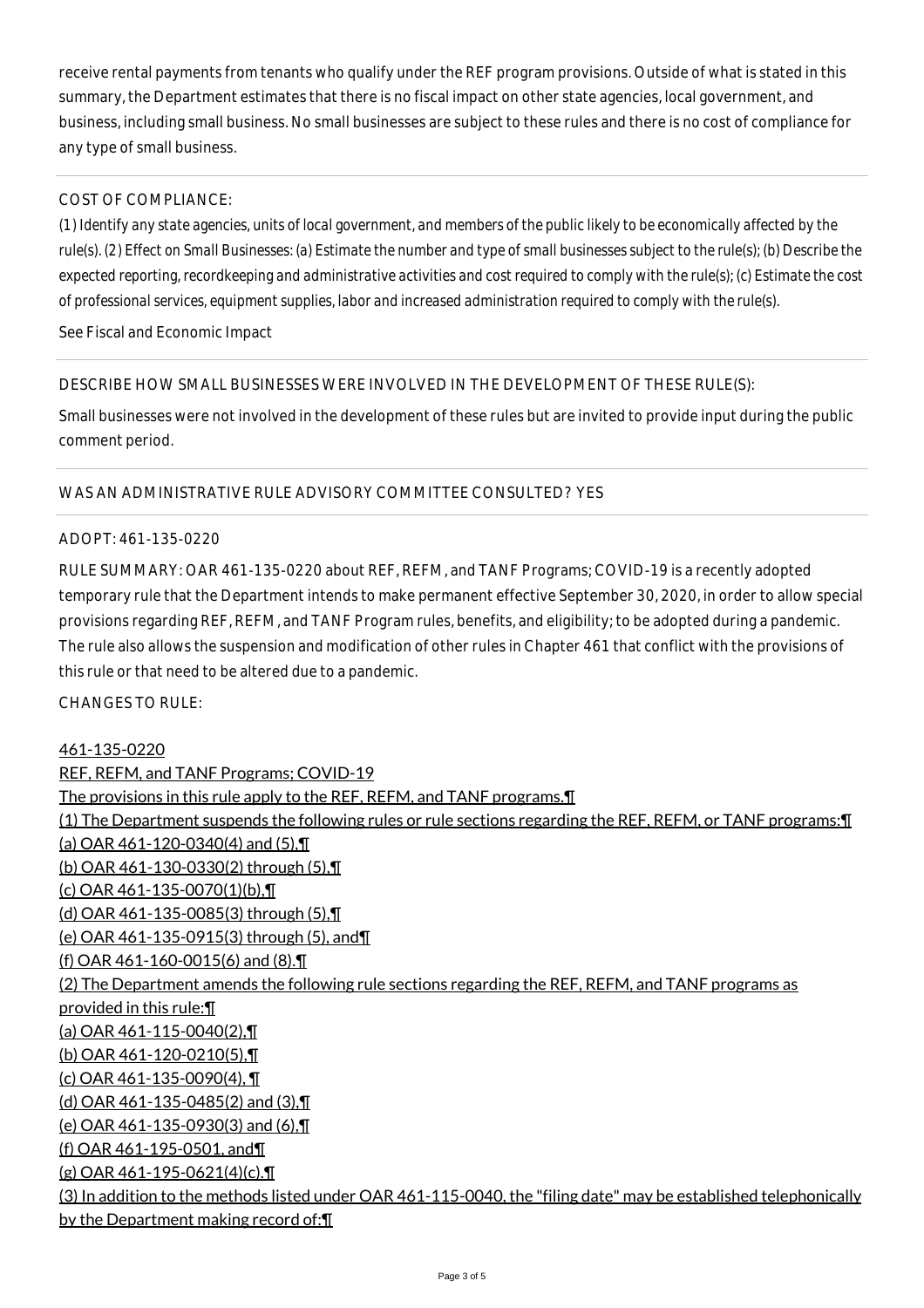receive rental payments from tenants who qualify under the REF program provisions. Outside of what is stated in this summary, the Department estimates that there is no fiscal impact on other state agencies, local government, and business, including small business. No small businesses are subject to these rules and there is no cost of compliance for any type of small business.

## COST OF COMPLIANCE:

*(1) Identify any state agencies, units of local government, and members of the public likely to be economically affected by the rule(s). (2) Effect on Small Businesses: (a) Estimate the number and type of small businesses subject to the rule(s); (b) Describe the expected reporting, recordkeeping and administrative activities and cost required to comply with the rule(s); (c) Estimate the cost of professional services, equipment supplies, labor and increased administration required to comply with the rule(s).*

See Fiscal and Economic Impact

#### DESCRIBE HOW SMALL BUSINESSES WERE INVOLVED IN THE DEVELOPMENT OF THESE RULE(S):

Small businesses were not involved in the development of these rules but are invited to provide input during the public comment period.

#### WAS AN ADMINISTRATIVE RULE ADVISORY COMMITTEE CONSULTED? YES

#### ADOPT: 461-135-0220

RULE SUMMARY: OAR 461-135-0220 about REF, REFM, and TANF Programs; COVID-19 is a recently adopted temporary rule that the Department intends to make permanent effective September 30, 2020, in order to allow special provisions regarding REF, REFM, and TANF Program rules, benefits, and eligibility; to be adopted during a pandemic. The rule also allows the suspension and modification of other rules in Chapter 461 that conflict with the provisions of this rule or that need to be altered due to a pandemic.

CHANGES TO RULE:

#### 461-135-0220

REF, REFM, and TANF Programs; COVID-19 The provisions in this rule apply to the REF, REFM, and TANF programs.¶ (1) The Department suspends the following rules or rule sections regarding the REF, REFM, or TANF programs:¶ (a) OAR 461-120-0340(4) and (5),¶ (b) OAR 461-130-0330(2) through (5),¶ (c) OAR 461-135-0070(1)(b),¶ (d) OAR 461-135-0085(3) through (5),¶ (e) OAR 461-135-0915(3) through (5), and¶ (f) OAR 461-160-0015(6) and (8).¶ (2) The Department amends the following rule sections regarding the REF, REFM, and TANF programs as provided in this rule:¶ (a) OAR 461-115-0040(2),¶ (b) OAR 461-120-0210(5),¶ (c) OAR 461-135-0090(4), ¶ (d) OAR 461-135-0485(2) and (3),¶ (e) OAR 461-135-0930(3) and (6),¶ (f) OAR 461-195-0501, and¶ (g) OAR 461-195-0621(4)(c).¶ (3) In addition to the methods listed under OAR 461-115-0040, the "filing date" may be established telephonically by the Department making record of:¶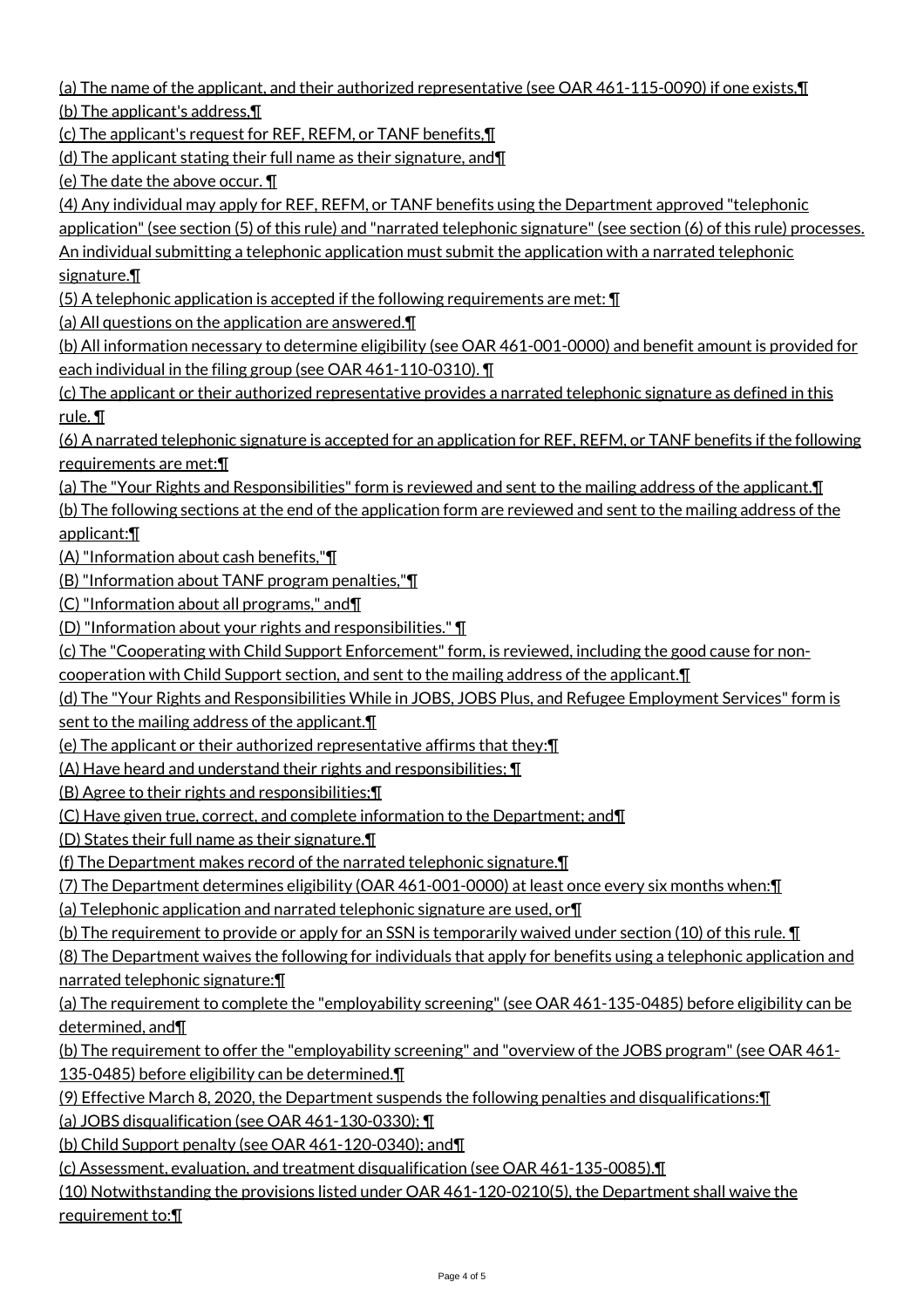(a) The name of the applicant, and their authorized representative (see OAR 461-115-0090) if one exists,¶ (b) The applicant's address,¶

(c) The applicant's request for REF, REFM, or TANF benefits,¶

(d) The applicant stating their full name as their signature, and¶

(e) The date the above occur. ¶

(4) Any individual may apply for REF, REFM, or TANF benefits using the Department approved "telephonic

application" (see section (5) of this rule) and "narrated telephonic signature" (see section (6) of this rule) processes.

An individual submitting a telephonic application must submit the application with a narrated telephonic signature.¶

(5) A telephonic application is accepted if the following requirements are met:  $\P$ 

(a) All questions on the application are answered.¶

(b) All information necessary to determine eligibility (see OAR 461-001-0000) and benefit amount is provided for each individual in the filing group (see OAR 461-110-0310). ¶

(c) The applicant or their authorized representative provides a narrated telephonic signature as defined in this rule. ¶

(6) A narrated telephonic signature is accepted for an application for REF, REFM, or TANF benefits if the following requirements are met:¶

(a) The "Your Rights and Responsibilities" form is reviewed and sent to the mailing address of the applicant.¶

(b) The following sections at the end of the application form are reviewed and sent to the mailing address of the applicant:¶

(A) "Information about cash benefits,"¶

(B) "Information about TANF program penalties,"¶

(C) "Information about all programs," and¶

(D) "Information about your rights and responsibilities." ¶

(c) The "Cooperating with Child Support Enforcement" form, is reviewed, including the good cause for non-

cooperation with Child Support section, and sent to the mailing address of the applicant.¶

(d) The "Your Rights and Responsibilities While in JOBS, JOBS Plus, and Refugee Employment Services" form is sent to the mailing address of the applicant.

(e) The applicant or their authorized representative affirms that they:¶

(A) Have heard and understand their rights and responsibilities; ¶

(B) Agree to their rights and responsibilities;¶

(C) Have given true, correct, and complete information to the Department; and¶

(D) States their full name as their signature.¶

(f) The Department makes record of the narrated telephonic signature.¶

(7) The Department determines eligibility (OAR 461-001-0000) at least once every six months when:¶

(a) Telephonic application and narrated telephonic signature are used, or¶

(b) The requirement to provide or apply for an SSN is temporarily waived under section (10) of this rule. ¶

(8) The Department waives the following for individuals that apply for benefits using a telephonic application and narrated telephonic signature:¶

(a) The requirement to complete the "employability screening" (see OAR 461-135-0485) before eligibility can be determined, and¶

(b) The requirement to offer the "employability screening" and "overview of the JOBS program" (see OAR 461- 135-0485) before eligibility can be determined.¶

(9) Effective March 8, 2020, the Department suspends the following penalties and disqualifications:¶

(a) JOBS disqualification (see OAR 461-130-0330); ¶

(b) Child Support penalty (see OAR 461-120-0340); and¶

(c) Assessment, evaluation, and treatment disqualification (see OAR 461-135-0085).¶

(10) Notwithstanding the provisions listed under OAR 461-120-0210(5), the Department shall waive the requirement to:¶